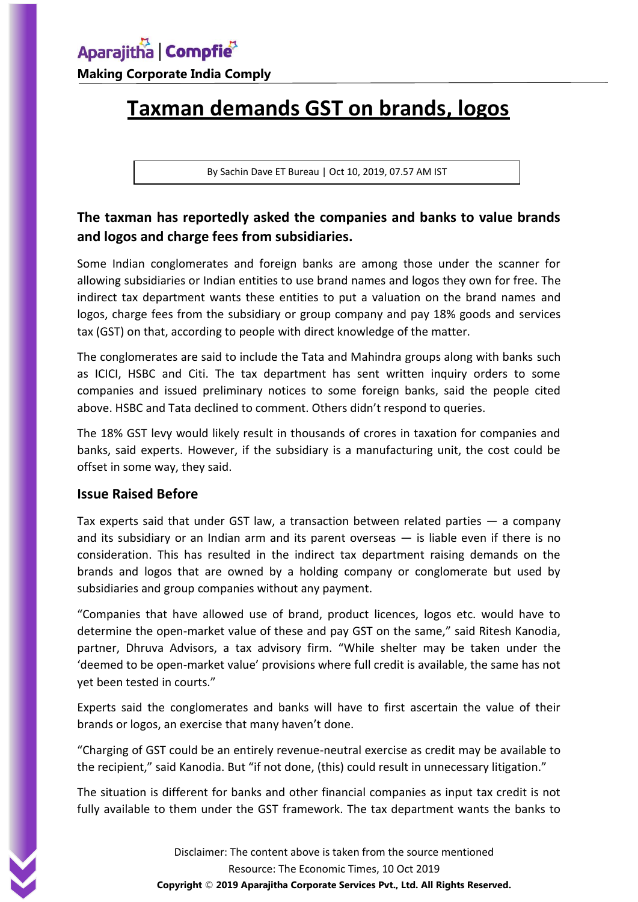**Making Corporate India Comply**

# **Taxman demands GST on brands, logos**

By Sachin Dave ET Bureau | Oct 10, 2019, 07.57 AM IST

### **The taxman has reportedly asked the companies and banks to value brands and logos and charge fees from subsidiaries.**

Some Indian conglomerates and foreign banks are among those under the scanner for allowing subsidiaries or Indian entities to use brand names and logos they own for free. The indirect tax department wants these entities to put a valuation on the brand names and logos, charge fees from the subsidiary or group company and pay 18% goods and services tax (GST) on that, according to people with direct knowledge of the matter.

The conglomerates are said to include the Tata and Mahindra groups along with banks such as ICICI, HSBC and Citi. The tax department has sent written inquiry orders to some companies and issued preliminary notices to some foreign banks, said the people cited above. HSBC and Tata declined to comment. Others didn't respond to queries.

The 18% GST levy would likely result in thousands of crores in taxation for companies and banks, said experts. However, if the subsidiary is a manufacturing unit, the cost could be offset in some way, they said.

#### **Issue Raised Before**

Tax experts said that under GST law, a transaction between related parties  $-$  a company and its subsidiary or an Indian arm and its parent overseas  $-$  is liable even if there is no consideration. This has resulted in the indirect tax department raising demands on the brands and logos that are owned by a holding company or conglomerate but used by subsidiaries and group companies without any payment.

"Companies that have allowed use of brand, product licences, logos etc. would have to determine the open-market value of these and pay GST on the same," said Ritesh Kanodia, partner, Dhruva Advisors, a tax advisory firm. "While shelter may be taken under the 'deemed to be open-market value' provisions where full credit is available, the same has not yet been tested in courts."

Experts said the conglomerates and banks will have to first ascertain the value of their brands or logos, an exercise that many haven't done.

"Charging of GST could be an entirely revenue-neutral exercise as credit may be available to the recipient," said Kanodia. But "if not done, (this) could result in unnecessary litigation."

The situation is different for banks and other financial companies as input tax credit is not fully available to them under the GST framework. The tax department wants the banks to